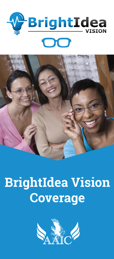



# **BrightIdea Vision Coverage**

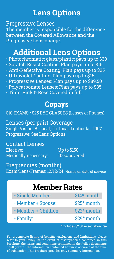## **Lens Options**

### Progressive Lenses

The member is responsible for the difference between the Covered Allowance and the Progressive Lens charge.

## **Additional Lens Options**

- Photochromatic: glass/plastic: pays up to \$30
- Scratch Resist Coating: Plan pays up to \$15
- Anti-Reflective Coating: Plan pays up to \$25
- Ultraviolet Coating: Plan pays up to \$16
- Progressive Lenses: Plan pays up to \$89.50
- Polycarbonate Lenses: Plan pays up to \$85
- Tints: Pink & Rose Covered in full

## **Copays**

\$10 EXAMS • \$25 EYE GLASSES (Lenses or Frames)

#### Lenses (per pair) Coverage

Single Vision; Bi-focal; Tri-focal; Lenticular: 100% Progressive: See Lens Options

#### Contact Lenses

Elective: Up to \$150 Medically necessary: 100% covered

#### Frequencies (months)

Exam/Lens/Frames: 12/12/24 \*based on date of service

## **Member Rates**

- Single Member: \$14\* month
- Member + Spouse: \$25\* month
- Member + Children: \$22\* month
- 

• Family: \$29\* month

\*Includes \$2.00 Association Fee

For a complete listing of benefits, exclusions and limitations, please refer to your Policy. In the event of discrepancies contained in this brochure, the terms and conditions contained in the Policy documents shall govern. The information contained herein is accurate at the time of publication. This brochure provides only summary information.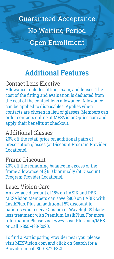Guaranteed Acceptance No Waiting Period Open Enrollment

## **Additional Features**

## Contact Lens Elective

Allowance includes fitting, exam, and lenses. The cost of the fitting and evaluation is deducted from the cost of the contact lens allowance. Allowance can be applied to disposables. Applies when contacts are chosen in lieu of glasses. Members can order contacts online at MESVisionOptics.com and apply their benefits at checkout.

### Additional Glasses

20% off the retail price on additional pairs of prescription glasses (at Discount Program Provider Locations).

### Frame Discount

20% off the remaining balance in excess of the frame allowance of \$150 biannually (at Discount Program Provider Locations).

## Laser Vision Care

An average discount of 15% on LASIK and PRK. MESVision Members can save \$800 on LASIK with LasikPlus. Plus an additional 5% discount to patients who receive Custom or Wavelight® bladeless treatment with Premium LasikPlus. For more information Please visit www.LasikPlus.com/MES or Call 1-855-433-2020.

To find a Participating Provider near you, please visit MESVision.com and click on Search for a Provider or call 800-877-6321